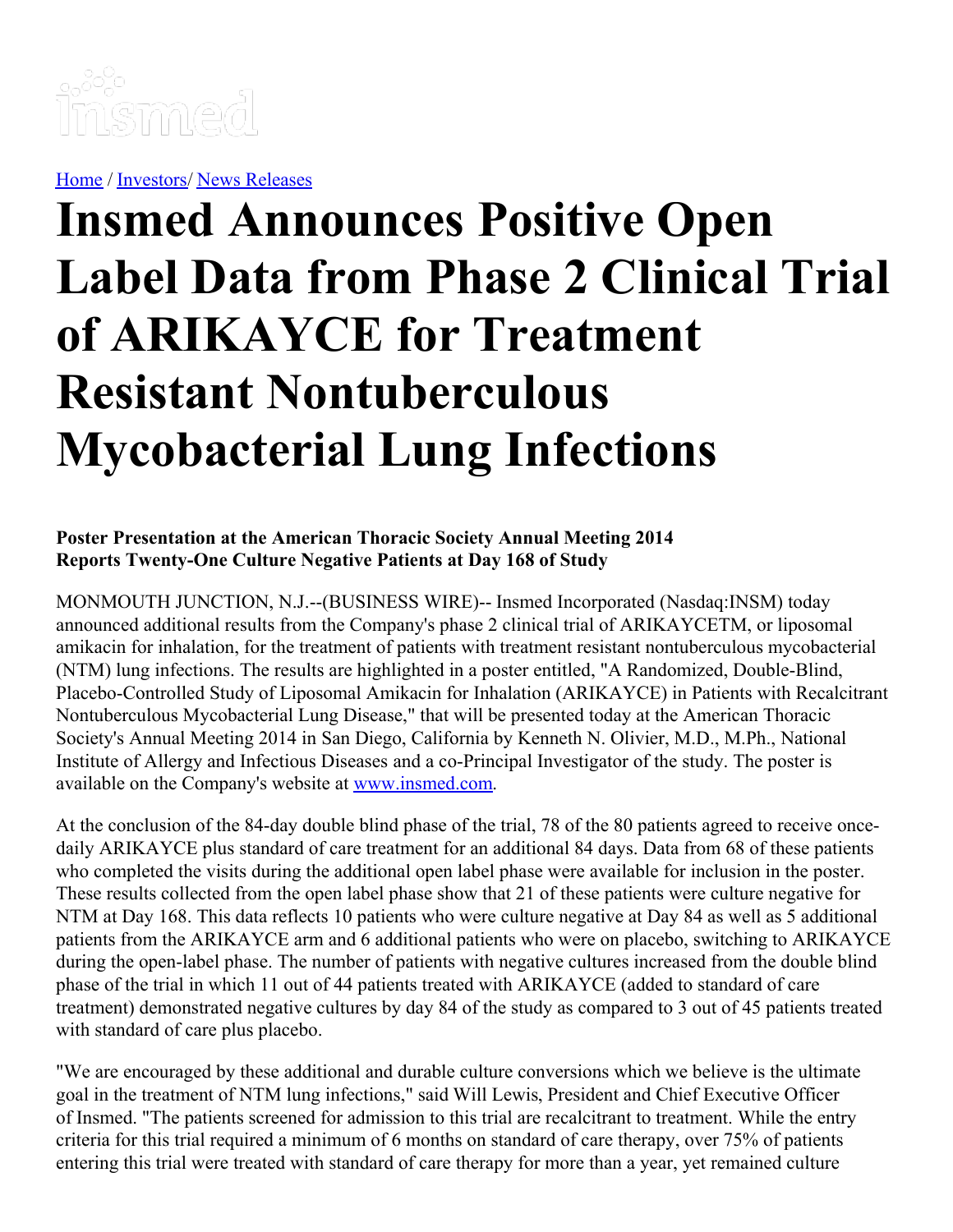

[Home](https://insmed.com/) / [Investors](https://investor.insmed.com/index)/ News [Releases](https://investor.insmed.com/releases)

# **Insmed Announces Positive Open Label Data from Phase 2 Clinical Trial of ARIKAYCE for Treatment Resistant Nontuberculous Mycobacterial Lung Infections**

### **Poster Presentation at the American Thoracic Society Annual Meeting 2014 Reports Twenty-One Culture Negative Patients at Day 168 of Study**

MONMOUTH JUNCTION, N.J.--(BUSINESS WIRE)-- Insmed Incorporated (Nasdaq:INSM) today announced additional results from the Company's phase 2 clinical trial of ARIKAYCETM, or liposomal amikacin for inhalation, for the treatment of patients with treatment resistant nontuberculous mycobacterial (NTM) lung infections. The results are highlighted in a poster entitled, "A Randomized, Double-Blind, Placebo-Controlled Study of Liposomal Amikacin for Inhalation (ARIKAYCE) in Patients with Recalcitrant Nontuberculous Mycobacterial Lung Disease," that will be presented today at the American Thoracic Society's Annual Meeting 2014 in San Diego, California by Kenneth N. Olivier, M.D., M.Ph., National Institute of Allergy and Infectious Diseases and a co-Principal Investigator of the study. The poster is available on the Company's website at [www.insmed.com](http://cts.businesswire.com/ct/CT?id=smartlink&url=http%3A%2F%2Fwww.insmed.com&esheet=50869060&newsitemid=20140520006246&lan=en-US&anchor=www.insmed.com&index=1&md5=de1774768734070ccfcc11873412f0a7).

At the conclusion of the 84-day double blind phase of the trial, 78 of the 80 patients agreed to receive oncedaily ARIKAYCE plus standard of care treatment for an additional 84 days. Data from 68 of these patients who completed the visits during the additional open label phase were available for inclusion in the poster. These results collected from the open label phase show that 21 of these patients were culture negative for NTM at Day 168. This data reflects 10 patients who were culture negative at Day 84 as well as 5 additional patients from the ARIKAYCE arm and 6 additional patients who were on placebo, switching to ARIKAYCE during the open-label phase. The number of patients with negative cultures increased from the double blind phase of the trial in which 11 out of 44 patients treated with ARIKAYCE (added to standard of care treatment) demonstrated negative cultures by day 84 of the study as compared to 3 out of 45 patients treated with standard of care plus placebo.

"We are encouraged by these additional and durable culture conversions which we believe is the ultimate goal in the treatment of NTM lung infections," said Will Lewis, President and Chief Executive Officer of Insmed. "The patients screened for admission to this trial are recalcitrant to treatment. While the entry criteria for this trial required a minimum of 6 months on standard of care therapy, over 75% of patients entering this trial were treated with standard of care therapy for more than a year, yet remained culture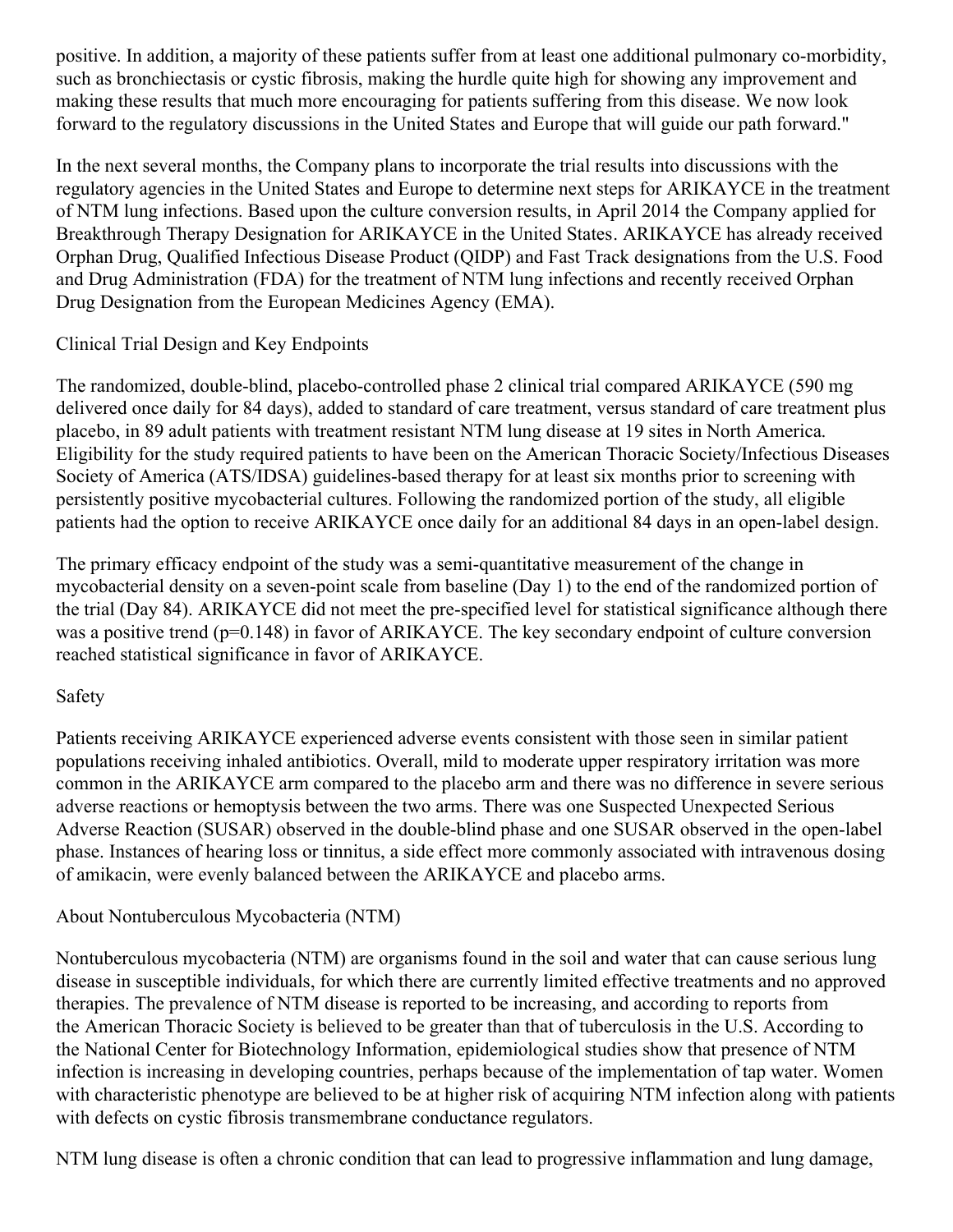positive. In addition, a majority of these patients suffer from at least one additional pulmonary co-morbidity, such as bronchiectasis or cystic fibrosis, making the hurdle quite high for showing any improvement and making these results that much more encouraging for patients suffering from this disease. We now look forward to the regulatory discussions in the United States and Europe that will guide our path forward."

In the next several months, the Company plans to incorporate the trial results into discussions with the regulatory agencies in the United States and Europe to determine next steps for ARIKAYCE in the treatment of NTM lung infections. Based upon the culture conversion results, in April 2014 the Company applied for Breakthrough Therapy Designation for ARIKAYCE in the United States. ARIKAYCE has already received Orphan Drug, Qualified Infectious Disease Product (QIDP) and Fast Track designations from the U.S. Food and Drug Administration (FDA) for the treatment of NTM lung infections and recently received Orphan Drug Designation from the European Medicines Agency (EMA).

### Clinical Trial Design and Key Endpoints

The randomized, double-blind, placebo-controlled phase 2 clinical trial compared ARIKAYCE (590 mg delivered once daily for 84 days), added to standard of care treatment, versus standard of care treatment plus placebo, in 89 adult patients with treatment resistant NTM lung disease at 19 sites in North America. Eligibility for the study required patients to have been on the American Thoracic Society/Infectious Diseases Society of America (ATS/IDSA) guidelines-based therapy for at least six months prior to screening with persistently positive mycobacterial cultures. Following the randomized portion of the study, all eligible patients had the option to receive ARIKAYCE once daily for an additional 84 days in an open-label design.

The primary efficacy endpoint of the study was a semi-quantitative measurement of the change in mycobacterial density on a seven-point scale from baseline (Day 1) to the end of the randomized portion of the trial (Day 84). ARIKAYCE did not meet the pre-specified level for statistical significance although there was a positive trend (p=0.148) in favor of ARIKAYCE. The key secondary endpoint of culture conversion reached statistical significance in favor of ARIKAYCE.

### Safety

Patients receiving ARIKAYCE experienced adverse events consistent with those seen in similar patient populations receiving inhaled antibiotics. Overall, mild to moderate upper respiratory irritation was more common in the ARIKAYCE arm compared to the placebo arm and there was no difference in severe serious adverse reactions or hemoptysis between the two arms. There was one Suspected Unexpected Serious Adverse Reaction (SUSAR) observed in the double-blind phase and one SUSAR observed in the open-label phase. Instances of hearing loss or tinnitus, a side effect more commonly associated with intravenous dosing of amikacin, were evenly balanced between the ARIKAYCE and placebo arms.

### About Nontuberculous Mycobacteria (NTM)

Nontuberculous mycobacteria (NTM) are organisms found in the soil and water that can cause serious lung disease in susceptible individuals, for which there are currently limited effective treatments and no approved therapies. The prevalence of NTM disease is reported to be increasing, and according to reports from the American Thoracic Society is believed to be greater than that of tuberculosis in the U.S. According to the National Center for Biotechnology Information, epidemiological studies show that presence of NTM infection is increasing in developing countries, perhaps because of the implementation of tap water. Women with characteristic phenotype are believed to be at higher risk of acquiring NTM infection along with patients with defects on cystic fibrosis transmembrane conductance regulators.

NTM lung disease is often a chronic condition that can lead to progressive inflammation and lung damage,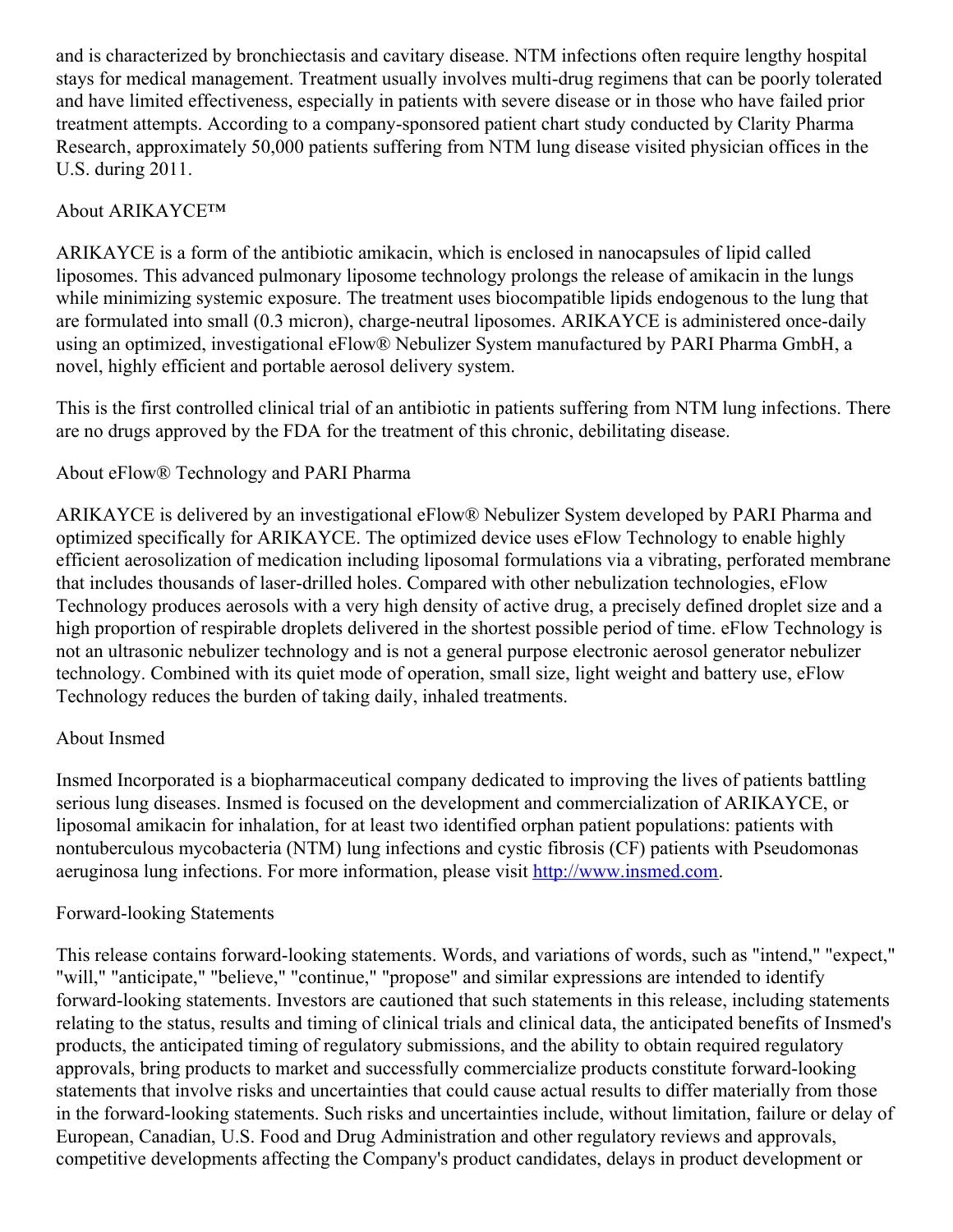and is characterized by bronchiectasis and cavitary disease. NTM infections often require lengthy hospital stays for medical management. Treatment usually involves multi-drug regimens that can be poorly tolerated and have limited effectiveness, especially in patients with severe disease or in those who have failed prior treatment attempts. According to a company-sponsored patient chart study conducted by Clarity Pharma Research, approximately 50,000 patients suffering from NTM lung disease visited physician offices in the U.S. during 2011.

## About ARIKAYCE™

ARIKAYCE is a form of the antibiotic amikacin, which is enclosed in nanocapsules of lipid called liposomes. This advanced pulmonary liposome technology prolongs the release of amikacin in the lungs while minimizing systemic exposure. The treatment uses biocompatible lipids endogenous to the lung that are formulated into small (0.3 micron), charge-neutral liposomes. ARIKAYCE is administered once-daily using an optimized, investigational eFlow® Nebulizer System manufactured by PARI Pharma GmbH, a novel, highly efficient and portable aerosol delivery system.

This is the first controlled clinical trial of an antibiotic in patients suffering from NTM lung infections. There are no drugs approved by the FDA for the treatment of this chronic, debilitating disease.

### About eFlow® Technology and PARI Pharma

ARIKAYCE is delivered by an investigational eFlow® Nebulizer System developed by PARI Pharma and optimized specifically for ARIKAYCE. The optimized device uses eFlow Technology to enable highly efficient aerosolization of medication including liposomal formulations via a vibrating, perforated membrane that includes thousands of laser-drilled holes. Compared with other nebulization technologies, eFlow Technology produces aerosols with a very high density of active drug, a precisely defined droplet size and a high proportion of respirable droplets delivered in the shortest possible period of time. eFlow Technology is not an ultrasonic nebulizer technology and is not a general purpose electronic aerosol generator nebulizer technology. Combined with its quiet mode of operation, small size, light weight and battery use, eFlow Technology reduces the burden of taking daily, inhaled treatments.

### About Insmed

Insmed Incorporated is a biopharmaceutical company dedicated to improving the lives of patients battling serious lung diseases. Insmed is focused on the development and commercialization of ARIKAYCE, or liposomal amikacin for inhalation, for at least two identified orphan patient populations: patients with nontuberculous mycobacteria (NTM) lung infections and cystic fibrosis (CF) patients with Pseudomonas aeruginosa lung infections. For more information, please visit [http://www.insmed.com](http://cts.businesswire.com/ct/CT?id=smartlink&url=http%3A%2F%2Fwww.insmed.com&esheet=50869060&newsitemid=20140520006246&lan=en-US&anchor=http%3A%2F%2Fwww.insmed.com&index=2&md5=616e9f41f090a3636260ea8c88b70937).

### Forward-looking Statements

This release contains forward-looking statements. Words, and variations of words, such as "intend," "expect," "will," "anticipate," "believe," "continue," "propose" and similar expressions are intended to identify forward-looking statements. Investors are cautioned that such statements in this release, including statements relating to the status, results and timing of clinical trials and clinical data, the anticipated benefits of Insmed's products, the anticipated timing of regulatory submissions, and the ability to obtain required regulatory approvals, bring products to market and successfully commercialize products constitute forward-looking statements that involve risks and uncertainties that could cause actual results to differ materially from those in the forward-looking statements. Such risks and uncertainties include, without limitation, failure or delay of European, Canadian, U.S. Food and Drug Administration and other regulatory reviews and approvals, competitive developments affecting the Company's product candidates, delays in product development or